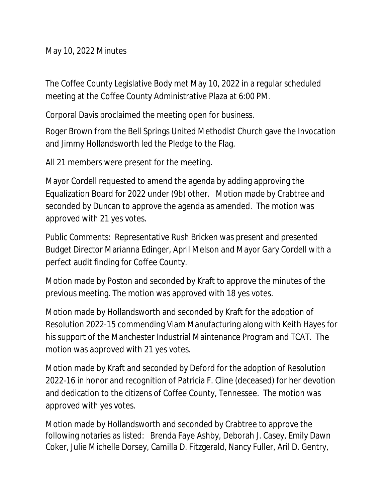May 10, 2022 Minutes

The Coffee County Legislative Body met May 10, 2022 in a regular scheduled meeting at the Coffee County Administrative Plaza at 6:00 PM.

Corporal Davis proclaimed the meeting open for business.

Roger Brown from the Bell Springs United Methodist Church gave the Invocation and Jimmy Hollandsworth led the Pledge to the Flag.

All 21 members were present for the meeting.

Mayor Cordell requested to amend the agenda by adding approving the Equalization Board for 2022 under (9b) other. Motion made by Crabtree and seconded by Duncan to approve the agenda as amended. The motion was approved with 21 yes votes.

Public Comments: Representative Rush Bricken was present and presented Budget Director Marianna Edinger, April Melson and Mayor Gary Cordell with a perfect audit finding for Coffee County.

Motion made by Poston and seconded by Kraft to approve the minutes of the previous meeting. The motion was approved with 18 yes votes.

Motion made by Hollandsworth and seconded by Kraft for the adoption of Resolution 2022-15 commending Viam Manufacturing along with Keith Hayes for his support of the Manchester Industrial Maintenance Program and TCAT. The motion was approved with 21 yes votes.

Motion made by Kraft and seconded by Deford for the adoption of Resolution 2022-16 in honor and recognition of Patricia F. Cline (deceased) for her devotion and dedication to the citizens of Coffee County, Tennessee. The motion was approved with yes votes.

Motion made by Hollandsworth and seconded by Crabtree to approve the following notaries as listed: Brenda Faye Ashby, Deborah J. Casey, Emily Dawn Coker, Julie Michelle Dorsey, Camilla D. Fitzgerald, Nancy Fuller, Aril D. Gentry,